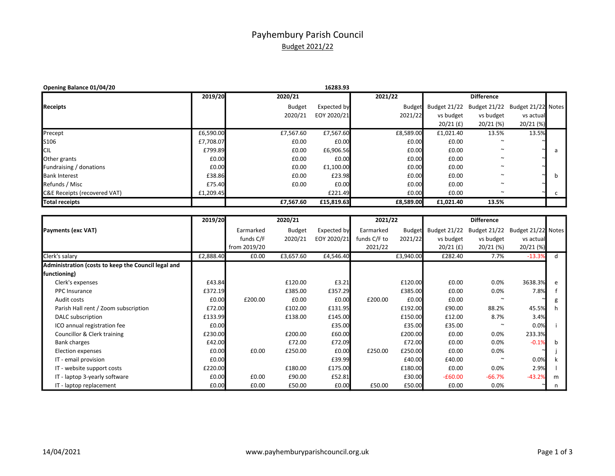## Payhembury Parish Council Budget 2021/22

| Opening Balance 01/04/20     |           |               | 16283.93    |               |              |                                 |             |  |
|------------------------------|-----------|---------------|-------------|---------------|--------------|---------------------------------|-------------|--|
|                              | 2019/20   | 2020/21       |             | 2021/22       |              | <b>Difference</b>               |             |  |
| Receipts                     |           | <b>Budget</b> | Expected by | <b>Budget</b> | Budget 21/22 | Budget 21/22 Budget 21/22 Notes |             |  |
|                              |           | 2020/21       | EOY 2020/21 | 2021/22       | vs budget    | vs budget                       | vs actual   |  |
|                              |           |               |             |               | $20/21$ (£)  | $20/21$ (%)                     | $20/21$ (%) |  |
| Precept                      | £6,590.00 | £7,567.60     | £7,567.60   | £8,589.00     | £1,021.40    | 13.5%                           | 13.5%       |  |
| S106                         | £7,708.07 | £0.00         | £0.00       | £0.00         | £0.00        | $\sim$                          |             |  |
| <b>CIL</b>                   | £799.89   | £0.00         | £6,906.56   | £0.00         | £0.00        | $\sim$                          |             |  |
| Other grants                 | £0.00     | £0.00         | £0.00       | £0.00         | £0.00        | $\sim$                          |             |  |
| Fundraising / donations      | £0.00     | £0.00         | £1,100.00   | £0.00         | £0.00        | $\sim$                          |             |  |
| <b>Bank Interest</b>         | £38.86    | £0.00         | £23.98      | £0.00         | £0.00        | $\sim$                          |             |  |
| Refunds / Misc               | £75.40    | £0.00         | £0.00       | £0.00         | £0.00        | $\sim$                          |             |  |
| C&E Receipts (recovered VAT) | £1,209.45 |               | £221.49     | £0.00         | £0.00        | $\sim$                          |             |  |
| Total receipts               |           | £7.567.60     | £15,819.63  | £8,589.00     | £1.021.40    | 13.5%                           |             |  |

|                                                     | 2019/20   |              | 2020/21       |             | 2021/22      |               |                     | <b>Difference</b> |                    |   |
|-----------------------------------------------------|-----------|--------------|---------------|-------------|--------------|---------------|---------------------|-------------------|--------------------|---|
| Payments (exc VAT)                                  |           | Earmarked    | <b>Budget</b> | Expected by | Earmarked    | <b>Budget</b> | <b>Budget 21/22</b> | Budget 21/22      | Budget 21/22 Notes |   |
|                                                     |           | funds C/F    | 2020/21       | EOY 2020/21 | funds C/F to | 2021/22       | vs budget           | vs budget         | vs actual          |   |
|                                                     |           | from 2019/20 |               |             | 2021/22      |               | $20/21$ (£)         | 20/21 (%)         | 20/21 (%)          |   |
| Clerk's salary                                      | £2,888.40 | £0.00        | £3,657.60     | £4,546.40   |              | £3,940.00     | £282.40             | 7.7%              | $-13.3%$           | d |
| Administration (costs to keep the Council legal and |           |              |               |             |              |               |                     |                   |                    |   |
| functioning)                                        |           |              |               |             |              |               |                     |                   |                    |   |
| Clerk's expenses                                    | £43.84    |              | £120.00       | £3.21       |              | £120.00       | £0.00               | $0.0\%$           | 3638.3%            | e |
| <b>PPC</b> Insurance                                | £372.19   |              | £385.00       | £357.29     |              | £385.00       | £0.00               | 0.0%              | 7.8%               |   |
| Audit costs                                         | £0.00     | £200.00      | £0.00         | £0.00       | £200.00      | £0.00         | £0.00               |                   |                    |   |
| Parish Hall rent / Zoom subscription                | £72.00    |              | £102.00       | £131.95     |              | £192.00       | £90.00              | 88.2%             | 45.5%              |   |
| DALC subscription                                   | £133.99   |              | £138.00       | £145.00     |              | £150.00       | £12.00              | 8.7%              | 3.4%               |   |
| ICO annual registration fee                         | £0.00     |              |               | £35.00      |              | £35.00        | £35.00              |                   | 0.0%               |   |
| Councillor & Clerk training                         | £230.00   |              | £200.00       | £60.00      |              | £200.00       | £0.00               | 0.0%              | 233.3%             |   |
| Bank charges                                        | £42.00    |              | £72.00        | £72.09      |              | £72.00        | £0.00               | 0.0%              | $-0.1%$            | h |
| Election expenses                                   | £0.00     | £0.00        | £250.00       | £0.00       | £250.00      | £250.00       | £0.00               | 0.0%              |                    |   |
| IT - email provision                                | £0.00     |              |               | £39.99      |              | £40.00        | £40.00              |                   | 0.0%               |   |
| IT - website support costs                          | £220.00   |              | £180.00       | £175.00     |              | £180.00       | £0.00               | 0.0%              | 2.9%               |   |
| IT - laptop 3-yearly software                       | £0.00     | £0.00        | £90.00        | £52.81      |              | £30.00        | $-£60.00$           | $-66.7%$          | $-43.2%$           | m |
| IT - laptop replacement                             | £0.00     | £0.00        | £50.00        | £0.00       | £50.00       | £50.00        | £0.00               | 0.0%              |                    |   |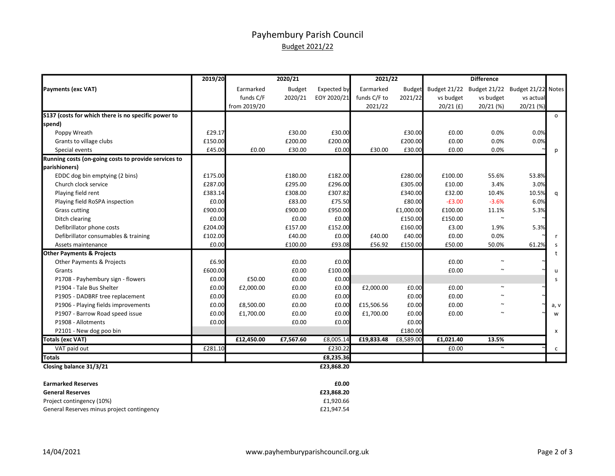## Payhembury Parish Council Budget 2021/22

|                                                      | 2019/20 |              | 2020/21       |             | 2021/22      |               |                     | <b>Difference</b>   |                    |              |
|------------------------------------------------------|---------|--------------|---------------|-------------|--------------|---------------|---------------------|---------------------|--------------------|--------------|
| Payments (exc VAT)                                   |         | Earmarked    | <b>Budget</b> | Expected by | Earmarked    | <b>Budget</b> | <b>Budget 21/22</b> | <b>Budget 21/22</b> | Budget 21/22 Notes |              |
|                                                      |         | funds C/F    | 2020/21       | EOY 2020/21 | funds C/F to | 2021/22       | vs budget           | vs budget           | vs actual          |              |
|                                                      |         | from 2019/20 |               |             | 2021/22      |               | $20/21$ (£)         | $20/21$ (%)         | 20/21 (%)          |              |
| \$137 (costs for which there is no specific power to |         |              |               |             |              |               |                     |                     |                    | $\circ$      |
| spend)                                               |         |              |               |             |              |               |                     |                     |                    |              |
| Poppy Wreath                                         | £29.17  |              | £30.00        | £30.00      |              | £30.00        | £0.00               | 0.0%                | 0.0%               |              |
| Grants to village clubs                              | £150.00 |              | £200.00       | £200.00     |              | £200.00       | £0.00               | 0.0%                | 0.0%               |              |
| Special events                                       | £45.00  | £0.00        | £30.00        | £0.00       | £30.00       | £30.00        | £0.00               | 0.0%                |                    | р            |
| Running costs (on-going costs to provide services to |         |              |               |             |              |               |                     |                     |                    |              |
| parishioners)                                        |         |              |               |             |              |               |                     |                     |                    |              |
| EDDC dog bin emptying (2 bins)                       | £175.00 |              | £180.00       | £182.00     |              | £280.00       | £100.00             | 55.6%               | 53.8%              |              |
| Church clock service                                 | £287.00 |              | £295.00       | £296.00     |              | £305.00       | £10.00              | 3.4%                | 3.0%               |              |
| Playing field rent                                   | £383.14 |              | £308.00       | £307.82     |              | £340.00       | £32.00              | 10.4%               | 10.5%              | q            |
| Playing field RoSPA inspection                       | £0.00   |              | £83.00        | £75.50      |              | £80.00        | $-E3.00$            | $-3.6%$             | 6.0%               |              |
| <b>Grass cutting</b>                                 | £900.00 |              | £900.00       | £950.00     |              | £1,000.00     | £100.00             | 11.1%               | 5.3%               |              |
| Ditch clearing                                       | £0.00   |              | £0.00         | £0.00       |              | £150.00       | £150.00             | $\sim$              |                    |              |
| Defibrillator phone costs                            | £204.00 |              | £157.00       | £152.00     |              | £160.00       | £3.00               | 1.9%                | 5.3%               |              |
| Defibrillator consumables & training                 | £102.00 |              | £40.00        | £0.00       | £40.00       | £40.00        | £0.00               | 0.0%                |                    |              |
| Assets maintenance                                   | £0.00   |              | £100.00       | £93.08      | £56.92       | £150.00       | £50.00              | 50.0%               | 61.2%              |              |
| <b>Other Payments &amp; Projects</b>                 |         |              |               |             |              |               |                     |                     |                    |              |
| Other Payments & Projects                            | £6.90   |              | £0.00         | £0.00       |              |               | £0.00               |                     |                    |              |
| Grants                                               | £600.00 |              | £0.00         | £100.00     |              |               | £0.00               | $\sim$              |                    | $\mathbf{u}$ |
| P1708 - Payhembury sign - flowers                    | £0.00   | £50.00       | £0.00         | £0.00       |              |               |                     |                     |                    | S            |
| P1904 - Tale Bus Shelter                             | £0.00   | £2,000.00    | £0.00         | £0.00       | £2,000.00    | £0.00         | £0.00               |                     |                    |              |
| P1905 - DADBRF tree replacement                      | £0.00   |              | £0.00         | £0.00       |              | £0.00         | £0.00               |                     |                    |              |
| P1906 - Playing fields improvements                  | £0.00   | £8,500.00    | £0.00         | £0.00       | £15,506.56   | £0.00         | £0.00               |                     |                    | a, v         |
| P1907 - Barrow Road speed issue                      | £0.00   | £1,700.00    | £0.00         | £0.00       | £1,700.00    | £0.00         | £0.00               |                     |                    | W            |
| P1908 - Allotments                                   | £0.00   |              | £0.00         | £0.00       |              | £0.00         |                     |                     |                    |              |
| P2101 - New dog poo bin                              |         |              |               |             |              | £180.00       |                     |                     |                    | x            |
| Totals (exc VAT)                                     |         | £12,450.00   | £7,567.60     | £8,005.14   | £19,833.48   | £8,589.00     | £1,021.40           | 13.5%               |                    |              |
| VAT paid out                                         | £281.10 |              |               | £230.22     |              |               | £0.00               | $\sim$              |                    | c            |
| <b>Totals</b>                                        |         |              |               | £8,235.36   |              |               |                     |                     |                    |              |
| Closing balance 31/3/21                              |         |              |               | £23,868.20  |              |               |                     |                     |                    |              |

| <b>Earmarked Reserves</b>                  | £0.00      |
|--------------------------------------------|------------|
| <b>General Reserves</b>                    | £23.868.20 |
| Project contingency (10%)                  | £1.920.66  |
| General Reserves minus project contingency | £21.947.54 |